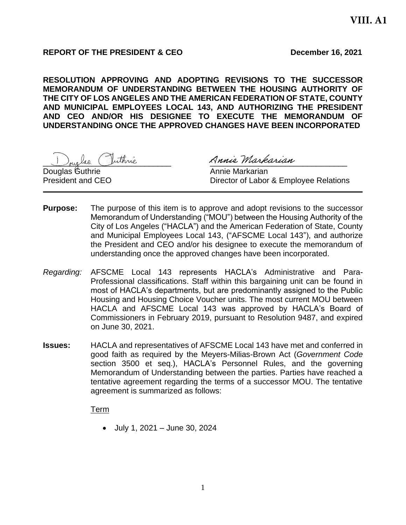## **REPORT OF THE PRESIDENT & CEO December 16, 2021**

**RESOLUTION APPROVING AND ADOPTING REVISIONS TO THE SUCCESSOR MEMORANDUM OF UNDERSTANDING BETWEEN THE HOUSING AUTHORITY OF THE CITY OF LOS ANGELES AND THE AMERICAN FEDERATION OF STATE, COUNTY AND MUNICIPAL EMPLOYEES LOCAL 143, AND AUTHORIZING THE PRESIDENT AND CEO AND/OR HIS DESIGNEE TO EXECUTE THE MEMORANDUM OF UNDERSTANDING ONCE THE APPROVED CHANGES HAVE BEEN INCORPORATED**

Douglas Guthrie **Annie Markarian** 

Inglas Vuthrie Annie Markarian

President and CEO **Director of Labor & Employee Relations** 

- **Purpose:** The purpose of this item is to approve and adopt revisions to the successor Memorandum of Understanding ("MOU") between the Housing Authority of the City of Los Angeles ("HACLA") and the American Federation of State, County and Municipal Employees Local 143, ("AFSCME Local 143"), and authorize the President and CEO and/or his designee to execute the memorandum of understanding once the approved changes have been incorporated.
- *Regarding:* AFSCME Local 143 represents HACLA's Administrative and Para-Professional classifications. Staff within this bargaining unit can be found in most of HACLA's departments, but are predominantly assigned to the Public Housing and Housing Choice Voucher units. The most current MOU between HACLA and AFSCME Local 143 was approved by HACLA's Board of Commissioners in February 2019, pursuant to Resolution 9487, and expired on June 30, 2021.
- **Issues:** HACLA and representatives of AFSCME Local 143 have met and conferred in good faith as required by the Meyers-Milias-Brown Act (*Government Code* section 3500 et seq.), HACLA's Personnel Rules, and the governing Memorandum of Understanding between the parties. Parties have reached a tentative agreement regarding the terms of a successor MOU. The tentative agreement is summarized as follows:

Term

• July 1, 2021 – June 30, 2024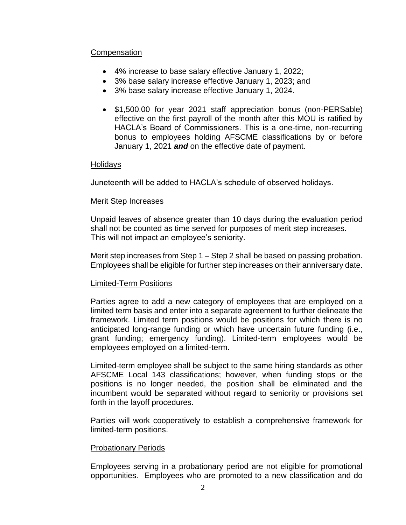## **Compensation**

- 4% increase to base salary effective January 1, 2022;
- 3% base salary increase effective January 1, 2023; and
- 3% base salary increase effective January 1, 2024.
- \$1,500.00 for year 2021 staff appreciation bonus (non-PERSable) effective on the first payroll of the month after this MOU is ratified by HACLA's Board of Commissioners. This is a one-time, non-recurring bonus to employees holding AFSCME classifications by or before January 1, 2021 *and* on the effective date of payment.

### Holidays

Juneteenth will be added to HACLA's schedule of observed holidays.

### Merit Step Increases

Unpaid leaves of absence greater than 10 days during the evaluation period shall not be counted as time served for purposes of merit step increases. This will not impact an employee's seniority.

Merit step increases from Step 1 – Step 2 shall be based on passing probation. Employees shall be eligible for further step increases on their anniversary date.

## Limited-Term Positions

Parties agree to add a new category of employees that are employed on a limited term basis and enter into a separate agreement to further delineate the framework. Limited term positions would be positions for which there is no anticipated long-range funding or which have uncertain future funding (i.e., grant funding; emergency funding). Limited-term employees would be employees employed on a limited-term.

Limited-term employee shall be subject to the same hiring standards as other AFSCME Local 143 classifications; however, when funding stops or the positions is no longer needed, the position shall be eliminated and the incumbent would be separated without regard to seniority or provisions set forth in the layoff procedures.

Parties will work cooperatively to establish a comprehensive framework for limited-term positions.

## Probationary Periods

Employees serving in a probationary period are not eligible for promotional opportunities. Employees who are promoted to a new classification and do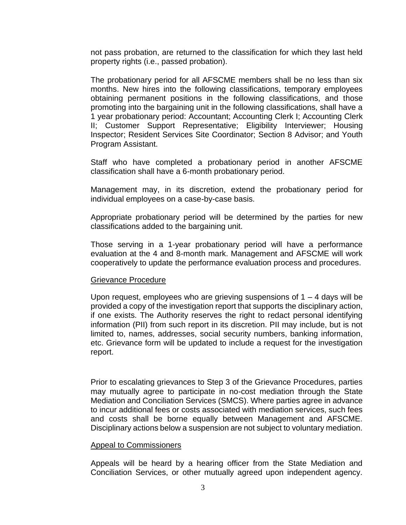not pass probation, are returned to the classification for which they last held property rights (i.e., passed probation).

The probationary period for all AFSCME members shall be no less than six months. New hires into the following classifications, temporary employees obtaining permanent positions in the following classifications, and those promoting into the bargaining unit in the following classifications, shall have a 1 year probationary period: Accountant; Accounting Clerk I; Accounting Clerk II; Customer Support Representative; Eligibility Interviewer; Housing Inspector; Resident Services Site Coordinator; Section 8 Advisor; and Youth Program Assistant.

Staff who have completed a probationary period in another AFSCME classification shall have a 6-month probationary period.

Management may, in its discretion, extend the probationary period for individual employees on a case-by-case basis.

Appropriate probationary period will be determined by the parties for new classifications added to the bargaining unit.

Those serving in a 1-year probationary period will have a performance evaluation at the 4 and 8-month mark. Management and AFSCME will work cooperatively to update the performance evaluation process and procedures.

#### Grievance Procedure

Upon request, employees who are grieving suspensions of  $1 - 4$  days will be provided a copy of the investigation report that supports the disciplinary action, if one exists. The Authority reserves the right to redact personal identifying information (PII) from such report in its discretion. PII may include, but is not limited to, names, addresses, social security numbers, banking information, etc. Grievance form will be updated to include a request for the investigation report.

Prior to escalating grievances to Step 3 of the Grievance Procedures, parties may mutually agree to participate in no-cost mediation through the State Mediation and Conciliation Services (SMCS). Where parties agree in advance to incur additional fees or costs associated with mediation services, such fees and costs shall be borne equally between Management and AFSCME. Disciplinary actions below a suspension are not subject to voluntary mediation.

#### Appeal to Commissioners

Appeals will be heard by a hearing officer from the State Mediation and Conciliation Services, or other mutually agreed upon independent agency.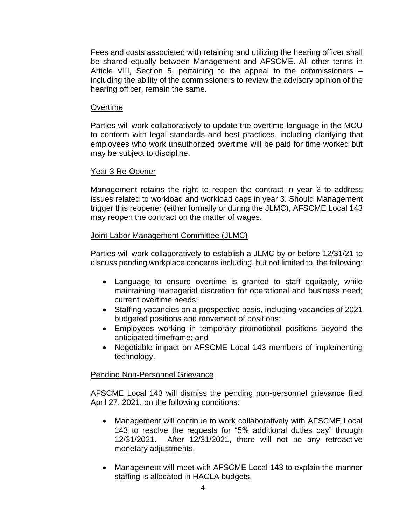Fees and costs associated with retaining and utilizing the hearing officer shall be shared equally between Management and AFSCME. All other terms in Article VIII, Section 5, pertaining to the appeal to the commissioners – including the ability of the commissioners to review the advisory opinion of the hearing officer, remain the same.

### **Overtime**

Parties will work collaboratively to update the overtime language in the MOU to conform with legal standards and best practices, including clarifying that employees who work unauthorized overtime will be paid for time worked but may be subject to discipline.

### Year 3 Re-Opener

Management retains the right to reopen the contract in year 2 to address issues related to workload and workload caps in year 3. Should Management trigger this reopener (either formally or during the JLMC), AFSCME Local 143 may reopen the contract on the matter of wages.

### Joint Labor Management Committee (JLMC)

Parties will work collaboratively to establish a JLMC by or before 12/31/21 to discuss pending workplace concerns including, but not limited to, the following:

- Language to ensure overtime is granted to staff equitably, while maintaining managerial discretion for operational and business need; current overtime needs;
- Staffing vacancies on a prospective basis, including vacancies of 2021 budgeted positions and movement of positions;
- Employees working in temporary promotional positions beyond the anticipated timeframe; and
- Negotiable impact on AFSCME Local 143 members of implementing technology.

## Pending Non-Personnel Grievance

AFSCME Local 143 will dismiss the pending non-personnel grievance filed April 27, 2021, on the following conditions:

- Management will continue to work collaboratively with AFSCME Local 143 to resolve the requests for "5% additional duties pay" through 12/31/2021. After 12/31/2021, there will not be any retroactive monetary adjustments.
- Management will meet with AFSCME Local 143 to explain the manner staffing is allocated in HACLA budgets.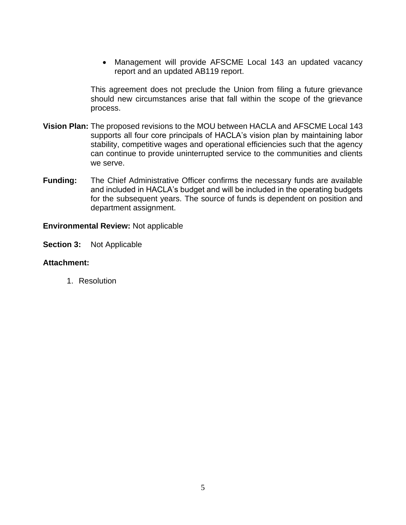• Management will provide AFSCME Local 143 an updated vacancy report and an updated AB119 report.

This agreement does not preclude the Union from filing a future grievance should new circumstances arise that fall within the scope of the grievance process.

- **Vision Plan:** The proposed revisions to the MOU between HACLA and AFSCME Local 143 supports all four core principals of HACLA's vision plan by maintaining labor stability, competitive wages and operational efficiencies such that the agency can continue to provide uninterrupted service to the communities and clients we serve.
- **Funding:** The Chief Administrative Officer confirms the necessary funds are available and included in HACLA's budget and will be included in the operating budgets for the subsequent years. The source of funds is dependent on position and department assignment.

## **Environmental Review:** Not applicable

**Section 3:** Not Applicable

### **Attachment:**

1. Resolution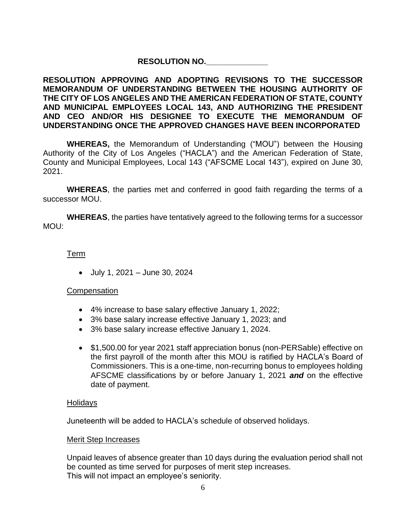# **RESOLUTION NO.\_\_\_\_\_\_\_\_\_\_\_\_\_\_**

## **RESOLUTION APPROVING AND ADOPTING REVISIONS TO THE SUCCESSOR MEMORANDUM OF UNDERSTANDING BETWEEN THE HOUSING AUTHORITY OF THE CITY OF LOS ANGELES AND THE AMERICAN FEDERATION OF STATE, COUNTY AND MUNICIPAL EMPLOYEES LOCAL 143, AND AUTHORIZING THE PRESIDENT AND CEO AND/OR HIS DESIGNEE TO EXECUTE THE MEMORANDUM OF UNDERSTANDING ONCE THE APPROVED CHANGES HAVE BEEN INCORPORATED**

**WHEREAS,** the Memorandum of Understanding ("MOU") between the Housing Authority of the City of Los Angeles ("HACLA") and the American Federation of State, County and Municipal Employees, Local 143 ("AFSCME Local 143"), expired on June 30, 2021.

**WHEREAS**, the parties met and conferred in good faith regarding the terms of a successor MOU.

**WHEREAS**, the parties have tentatively agreed to the following terms for a successor MOU:

### Term

• July 1, 2021 – June 30, 2024

#### **Compensation**

- 4% increase to base salary effective January 1, 2022;
- 3% base salary increase effective January 1, 2023; and
- 3% base salary increase effective January 1, 2024.
- \$1,500.00 for year 2021 staff appreciation bonus (non-PERSable) effective on the first payroll of the month after this MOU is ratified by HACLA's Board of Commissioners. This is a one-time, non-recurring bonus to employees holding AFSCME classifications by or before January 1, 2021 *and* on the effective date of payment.

#### Holidays

Juneteenth will be added to HACLA's schedule of observed holidays.

#### Merit Step Increases

Unpaid leaves of absence greater than 10 days during the evaluation period shall not be counted as time served for purposes of merit step increases. This will not impact an employee's seniority.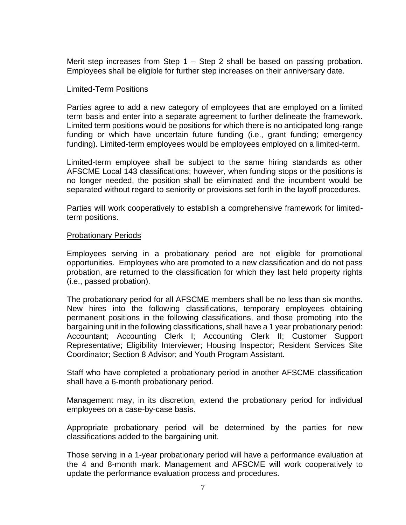Merit step increases from Step 1 – Step 2 shall be based on passing probation. Employees shall be eligible for further step increases on their anniversary date.

### Limited-Term Positions

Parties agree to add a new category of employees that are employed on a limited term basis and enter into a separate agreement to further delineate the framework. Limited term positions would be positions for which there is no anticipated long-range funding or which have uncertain future funding (i.e., grant funding; emergency funding). Limited-term employees would be employees employed on a limited-term.

Limited-term employee shall be subject to the same hiring standards as other AFSCME Local 143 classifications; however, when funding stops or the positions is no longer needed, the position shall be eliminated and the incumbent would be separated without regard to seniority or provisions set forth in the layoff procedures.

Parties will work cooperatively to establish a comprehensive framework for limitedterm positions.

#### Probationary Periods

Employees serving in a probationary period are not eligible for promotional opportunities. Employees who are promoted to a new classification and do not pass probation, are returned to the classification for which they last held property rights (i.e., passed probation).

The probationary period for all AFSCME members shall be no less than six months. New hires into the following classifications, temporary employees obtaining permanent positions in the following classifications, and those promoting into the bargaining unit in the following classifications, shall have a 1 year probationary period: Accountant; Accounting Clerk I; Accounting Clerk II; Customer Support Representative; Eligibility Interviewer; Housing Inspector; Resident Services Site Coordinator; Section 8 Advisor; and Youth Program Assistant.

Staff who have completed a probationary period in another AFSCME classification shall have a 6-month probationary period.

Management may, in its discretion, extend the probationary period for individual employees on a case-by-case basis.

Appropriate probationary period will be determined by the parties for new classifications added to the bargaining unit.

Those serving in a 1-year probationary period will have a performance evaluation at the 4 and 8-month mark. Management and AFSCME will work cooperatively to update the performance evaluation process and procedures.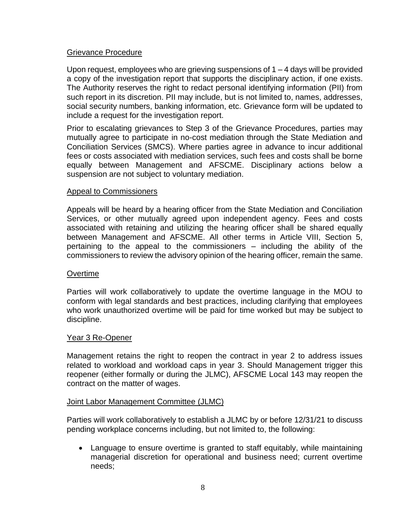## Grievance Procedure

Upon request, employees who are grieving suspensions of 1 – 4 days will be provided a copy of the investigation report that supports the disciplinary action, if one exists. The Authority reserves the right to redact personal identifying information (PII) from such report in its discretion. PII may include, but is not limited to, names, addresses, social security numbers, banking information, etc. Grievance form will be updated to include a request for the investigation report.

Prior to escalating grievances to Step 3 of the Grievance Procedures, parties may mutually agree to participate in no-cost mediation through the State Mediation and Conciliation Services (SMCS). Where parties agree in advance to incur additional fees or costs associated with mediation services, such fees and costs shall be borne equally between Management and AFSCME. Disciplinary actions below a suspension are not subject to voluntary mediation.

### Appeal to Commissioners

Appeals will be heard by a hearing officer from the State Mediation and Conciliation Services, or other mutually agreed upon independent agency. Fees and costs associated with retaining and utilizing the hearing officer shall be shared equally between Management and AFSCME. All other terms in Article VIII, Section 5, pertaining to the appeal to the commissioners – including the ability of the commissioners to review the advisory opinion of the hearing officer, remain the same.

#### **Overtime**

Parties will work collaboratively to update the overtime language in the MOU to conform with legal standards and best practices, including clarifying that employees who work unauthorized overtime will be paid for time worked but may be subject to discipline.

#### Year 3 Re-Opener

Management retains the right to reopen the contract in year 2 to address issues related to workload and workload caps in year 3. Should Management trigger this reopener (either formally or during the JLMC), AFSCME Local 143 may reopen the contract on the matter of wages.

#### Joint Labor Management Committee (JLMC)

Parties will work collaboratively to establish a JLMC by or before 12/31/21 to discuss pending workplace concerns including, but not limited to, the following:

• Language to ensure overtime is granted to staff equitably, while maintaining managerial discretion for operational and business need; current overtime needs;